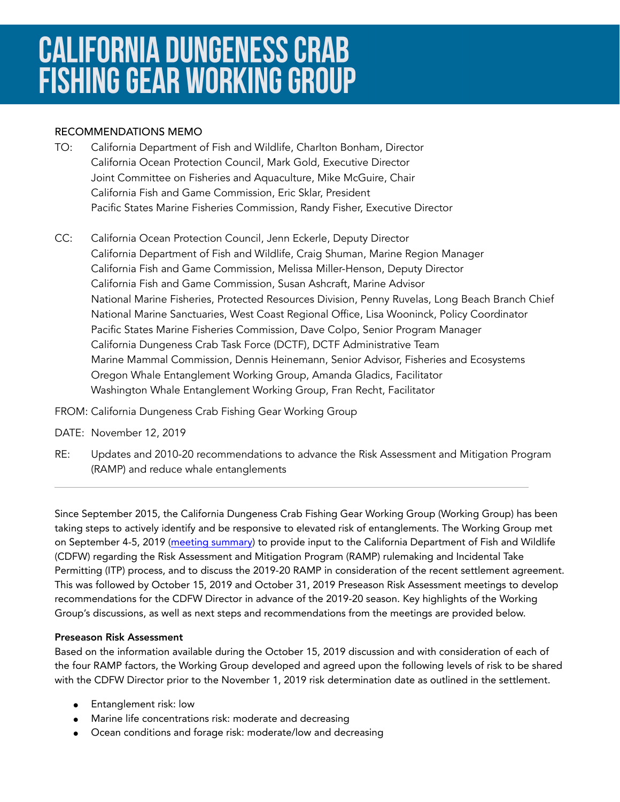# **CALIFORNIA DUNGENESS CRAB FISHING GEAR WORKING GROUP**

## RECOMMENDATIONS MEMO

- TO: California Department of Fish and Wildlife, Charlton Bonham, Director California Ocean Protection Council, Mark Gold, Executive Director Joint Committee on Fisheries and Aquaculture, Mike McGuire, Chair California Fish and Game Commission, Eric Sklar, President Pacific States Marine Fisheries Commission, Randy Fisher, Executive Director
- CC: California Ocean Protection Council, Jenn Eckerle, Deputy Director California Department of Fish and Wildlife, Craig Shuman, Marine Region Manager California Fish and Game Commission, Melissa Miller-Henson, Deputy Director California Fish and Game Commission, Susan Ashcraft, Marine Advisor National Marine Fisheries, Protected Resources Division, Penny Ruvelas, Long Beach Branch Chief National Marine Sanctuaries, West Coast Regional Office, Lisa Wooninck, Policy Coordinator Pacific States Marine Fisheries Commission, Dave Colpo, Senior Program Manager California Dungeness Crab Task Force (DCTF), DCTF Administrative Team Marine Mammal Commission, Dennis Heinemann, Senior Advisor, Fisheries and Ecosystems Oregon Whale Entanglement Working Group, Amanda Gladics, Facilitator Washington Whale Entanglement Working Group, Fran Recht, Facilitator
- FROM: California Dungeness Crab Fishing Gear Working Group
- DATE: November 12, 2019
- RE: Updates and 2010-20 recommendations to advance the Risk Assessment and Mitigation Program (RAMP) and reduce whale entanglements

Since September 2015, the California Dungeness Crab Fishing Gear Working Group (Working Group) has been taking steps to actively identify and be responsive to elevated risk of entanglements. The Working Group met on September 4-5, 2019 ([meeting summary](http://www.opc.ca.gov/webmaster/_media_library/2019/10/CAWorkingGroup_KeyThemesSummary_FINAL_Sept4-52019.pdf)) to provide input to the California Department of Fish and Wildlife (CDFW) regarding the Risk Assessment and Mitigation Program (RAMP) rulemaking and Incidental Take Permitting (ITP) process, and to discuss the 2019-20 RAMP in consideration of the recent settlement agreement. This was followed by October 15, 2019 and October 31, 2019 Preseason Risk Assessment meetings to develop recommendations for the CDFW Director in advance of the 2019-20 season. Key highlights of the Working Group's discussions, as well as next steps and recommendations from the meetings are provided below.

## Preseason Risk Assessment

Based on the information available during the October 15, 2019 discussion and with consideration of each of the four RAMP factors, the Working Group developed and agreed upon the following levels of risk to be shared with the CDFW Director prior to the November 1, 2019 risk determination date as outlined in the settlement.

- **•** Entanglement risk: low
- Marine life concentrations risk: moderate and decreasing
- Ocean conditions and forage risk: moderate/low and decreasing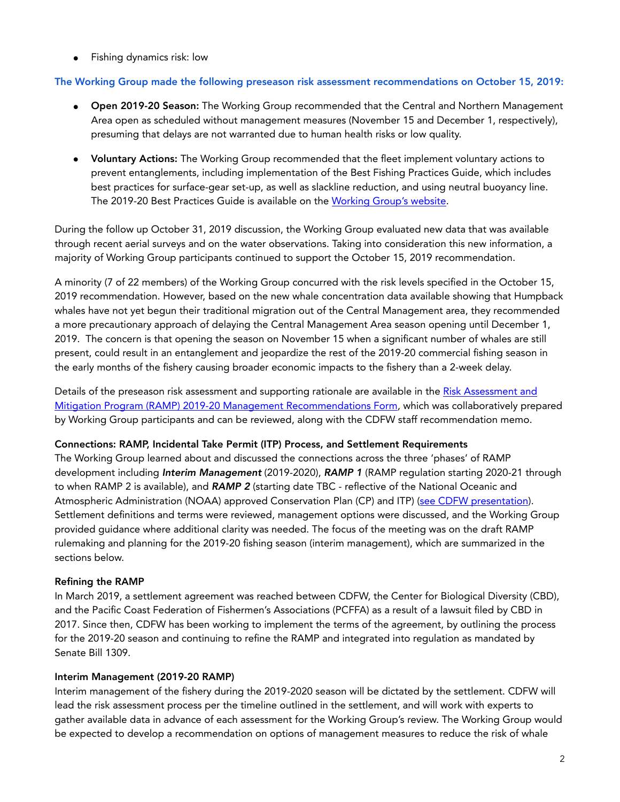● Fishing dynamics risk: low

### The Working Group made the following preseason risk assessment recommendations on October 15, 2019:

- **●** Open 2019-20 Season: The Working Group recommended that the Central and Northern Management Area open as scheduled without management measures (November 15 and December 1, respectively), presuming that delays are not warranted due to human health risks or low quality.
- **●** Voluntary Actions: The Working Group recommended that the fleet implement voluntary actions to prevent entanglements, including implementation of the Best Fishing Practices Guide, which includes best practices for surface-gear set-up, as well as slackline reduction, and using neutral buoyancy line. The 2019-20 Best Practices Guide is available on the [Working Group's website.](http://www.opc.ca.gov/whale-entanglement-working-group/)

During the follow up October 31, 2019 discussion, the Working Group evaluated new data that was available through recent aerial surveys and on the water observations. Taking into consideration this new information, a majority of Working Group participants continued to support the October 15, 2019 recommendation.

A minority (7 of 22 members) of the Working Group concurred with the risk levels specified in the October 15, 2019 recommendation. However, based on the new whale concentration data available showing that Humpback whales have not yet begun their traditional migration out of the Central Management area, they recommended a more precautionary approach of delaying the Central Management Area season opening until December 1, 2019. The concern is that opening the season on November 15 when a significant number of whales are still present, could result in an entanglement and jeopardize the rest of the 2019-20 commercial fishing season in the early months of the fishery causing broader economic impacts to the fishery than a 2-week delay.

Details of the preseason risk assessment and supporting rationale are available in the [Risk Assessment and](https://www.wildlife.ca.gov/Conservation/Marine/Whale-Safe-Fisheries)  [Mitigation Program \(RAMP\) 2019-20 Management Recommendations Form,](https://www.wildlife.ca.gov/Conservation/Marine/Whale-Safe-Fisheries) which was collaboratively prepared by Working Group participants and can be reviewed, along with the CDFW staff recommendation memo.

#### Connections: RAMP, Incidental Take Permit (ITP) Process, and Settlement Requirements

The Working Group learned about and discussed the connections across the three 'phases' of RAMP development including *Interim Management* (2019-2020), *RAMP 1* (RAMP regulation starting 2020-21 through to when RAMP 2 is available), and *RAMP 2* (starting date TBC - reflective of the National Oceanic and Atmospheric Administration (NOAA) approved Conservation Plan (CP) and ITP) ([see CDFW presentation\)](https://drive.google.com/open?id=1yWz4hjELrunODAb4ot594D_fpeJ4b1Lf). Settlement definitions and terms were reviewed, management options were discussed, and the Working Group provided guidance where additional clarity was needed. The focus of the meeting was on the draft RAMP rulemaking and planning for the 2019-20 fishing season (interim management), which are summarized in the sections below.

#### Refining the RAMP

In March 2019, a settlement agreement was reached between CDFW, the Center for Biological Diversity (CBD), and the Pacific Coast Federation of Fishermen's Associations (PCFFA) as a result of a lawsuit filed by CBD in 2017. Since then, CDFW has been working to implement the terms of the agreement, by outlining the process for the 2019-20 season and continuing to refine the RAMP and integrated into regulation as mandated by Senate Bill 1309.

#### Interim Management (2019-20 RAMP)

Interim management of the fishery during the 2019-2020 season will be dictated by the settlement. CDFW will lead the risk assessment process per the timeline outlined in the settlement, and will work with experts to gather available data in advance of each assessment for the Working Group's review. The Working Group would be expected to develop a recommendation on options of management measures to reduce the risk of whale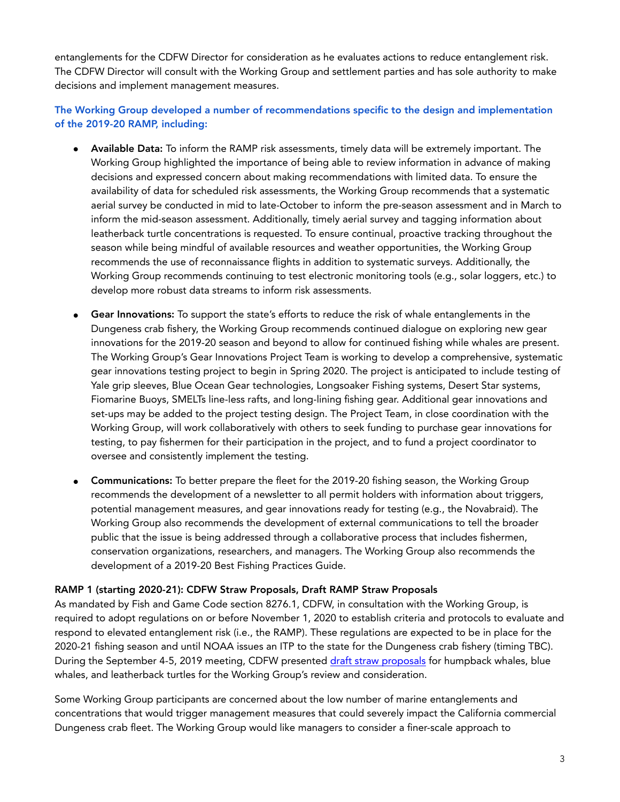entanglements for the CDFW Director for consideration as he evaluates actions to reduce entanglement risk. The CDFW Director will consult with the Working Group and settlement parties and has sole authority to make decisions and implement management measures.

The Working Group developed a number of recommendations specific to the design and implementation of the 2019-20 RAMP, including:

- Available Data: To inform the RAMP risk assessments, timely data will be extremely important. The Working Group highlighted the importance of being able to review information in advance of making decisions and expressed concern about making recommendations with limited data. To ensure the availability of data for scheduled risk assessments, the Working Group recommends that a systematic aerial survey be conducted in mid to late-October to inform the pre-season assessment and in March to inform the mid-season assessment. Additionally, timely aerial survey and tagging information about leatherback turtle concentrations is requested. To ensure continual, proactive tracking throughout the season while being mindful of available resources and weather opportunities, the Working Group recommends the use of reconnaissance flights in addition to systematic surveys. Additionally, the Working Group recommends continuing to test electronic monitoring tools (e.g., solar loggers, etc.) to develop more robust data streams to inform risk assessments.
- Gear Innovations: To support the state's efforts to reduce the risk of whale entanglements in the Dungeness crab fishery, the Working Group recommends continued dialogue on exploring new gear innovations for the 2019-20 season and beyond to allow for continued fishing while whales are present. The Working Group's Gear Innovations Project Team is working to develop a comprehensive, systematic gear innovations testing project to begin in Spring 2020. The project is anticipated to include testing of Yale grip sleeves, Blue Ocean Gear technologies, Longsoaker Fishing systems, Desert Star systems, Fiomarine Buoys, SMELTs line-less rafts, and long-lining fishing gear. Additional gear innovations and set-ups may be added to the project testing design. The Project Team, in close coordination with the Working Group, will work collaboratively with others to seek funding to purchase gear innovations for testing, to pay fishermen for their participation in the project, and to fund a project coordinator to oversee and consistently implement the testing.
- **●** Communications: To better prepare the fleet for the 2019-20 fishing season, the Working Group recommends the development of a newsletter to all permit holders with information about triggers, potential management measures, and gear innovations ready for testing (e.g., the Novabraid). The Working Group also recommends the development of external communications to tell the broader public that the issue is being addressed through a collaborative process that includes fishermen, conservation organizations, researchers, and managers. The Working Group also recommends the development of a 2019-20 Best Fishing Practices Guide.

#### RAMP 1 (starting 2020-21): CDFW Straw Proposals, Draft RAMP Straw Proposals

As mandated by Fish and Game Code section 8276.1, CDFW, in consultation with the Working Group, is required to adopt regulations on or before November 1, 2020 to establish criteria and protocols to evaluate and respond to elevated entanglement risk (i.e., the RAMP). These regulations are expected to be in place for the 2020-21 fishing season and until NOAA issues an ITP to the state for the Dungeness crab fishery (timing TBC). During the September 4-5, 2019 meeting, CDFW presented [draft straw proposals](http://www.opc.ca.gov/webmaster/_media_library/2019/09/CDFW-Straw-Proposal_Sept-2019-WG-Meeting_Plotter.pdf) for humpback whales, blue whales, and leatherback turtles for the Working Group's review and consideration.

Some Working Group participants are concerned about the low number of marine entanglements and concentrations that would trigger management measures that could severely impact the California commercial Dungeness crab fleet. The Working Group would like managers to consider a finer-scale approach to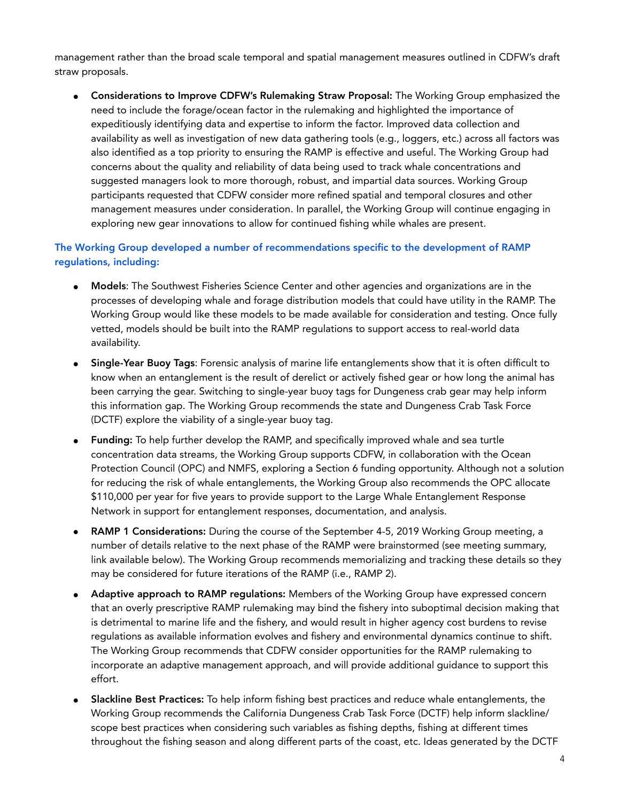management rather than the broad scale temporal and spatial management measures outlined in CDFW's draft straw proposals.

• Considerations to Improve CDFW's Rulemaking Straw Proposal: The Working Group emphasized the need to include the forage/ocean factor in the rulemaking and highlighted the importance of expeditiously identifying data and expertise to inform the factor. Improved data collection and availability as well as investigation of new data gathering tools (e.g., loggers, etc.) across all factors was also identified as a top priority to ensuring the RAMP is effective and useful. The Working Group had concerns about the quality and reliability of data being used to track whale concentrations and suggested managers look to more thorough, robust, and impartial data sources. Working Group participants requested that CDFW consider more refined spatial and temporal closures and other management measures under consideration. In parallel, the Working Group will continue engaging in exploring new gear innovations to allow for continued fishing while whales are present.

## The Working Group developed a number of recommendations specific to the development of RAMP regulations, including:

- **●** Models: The Southwest Fisheries Science Center and other agencies and organizations are in the processes of developing whale and forage distribution models that could have utility in the RAMP. The Working Group would like these models to be made available for consideration and testing. Once fully vetted, models should be built into the RAMP regulations to support access to real-world data availability.
- **Single-Year Buoy Tags:** Forensic analysis of marine life entanglements show that it is often difficult to know when an entanglement is the result of derelict or actively fished gear or how long the animal has been carrying the gear. Switching to single-year buoy tags for Dungeness crab gear may help inform this information gap. The Working Group recommends the state and Dungeness Crab Task Force (DCTF) explore the viability of a single-year buoy tag.
- **●** Funding: To help further develop the RAMP, and specifically improved whale and sea turtle concentration data streams, the Working Group supports CDFW, in collaboration with the Ocean Protection Council (OPC) and NMFS, exploring a Section 6 funding opportunity. Although not a solution for reducing the risk of whale entanglements, the Working Group also recommends the OPC allocate \$110,000 per year for five years to provide support to the Large Whale Entanglement Response Network in support for entanglement responses, documentation, and analysis.
- **RAMP 1 Considerations:** During the course of the September 4-5, 2019 Working Group meeting, a number of details relative to the next phase of the RAMP were brainstormed (see meeting summary, link available below). The Working Group recommends memorializing and tracking these details so they may be considered for future iterations of the RAMP (i.e., RAMP 2).
- **●** Adaptive approach to RAMP regulations: Members of the Working Group have expressed concern that an overly prescriptive RAMP rulemaking may bind the fishery into suboptimal decision making that is detrimental to marine life and the fishery, and would result in higher agency cost burdens to revise regulations as available information evolves and fishery and environmental dynamics continue to shift. The Working Group recommends that CDFW consider opportunities for the RAMP rulemaking to incorporate an adaptive management approach, and will provide additional guidance to support this effort.
- Slackline Best Practices: To help inform fishing best practices and reduce whale entanglements, the Working Group recommends the California Dungeness Crab Task Force (DCTF) help inform slackline/ scope best practices when considering such variables as fishing depths, fishing at different times throughout the fishing season and along different parts of the coast, etc. Ideas generated by the DCTF